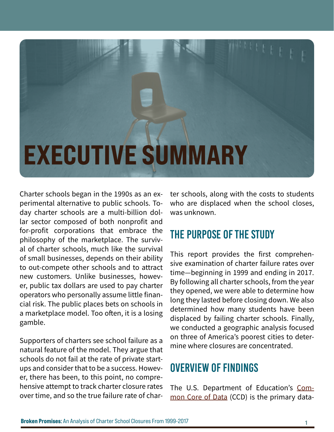## EXECUTIVE SUMMARY

Charter schools began in the 1990s as an experimental alternative to public schools. Today charter schools are a multi-billion dollar sector composed of both nonprofit and for-profit corporations that embrace the philosophy of the marketplace. The survival of charter schools, much like the survival of small businesses, depends on their ability to out-compete other schools and to attract new customers. Unlike businesses, however, public tax dollars are used to pay charter operators who personally assume little financial risk. The public places bets on schools in a marketplace model. Too often, it is a losing gamble.

Supporters of charters see school failure as a natural feature of the model. They argue that schools do not fail at the rate of private startups and consider that to be a success. However, there has been, to this point, no comprehensive attempt to track charter closure rates over time, and so the true failure rate of charter schools, along with the costs to students who are displaced when the school closes, was unknown.

## The Purpose of the Study

This report provides the first comprehensive examination of charter failure rates over time—beginning in 1999 and ending in 2017. By following all charter schools, from the year they opened, we were able to determine how long they lasted before closing down. We also determined how many students have been displaced by failing charter schools. Finally, we conducted a geographic analysis focused on three of America's poorest cities to determine where closures are concentrated.

## Overview of Findings

The U.S. Department of Education's [Com-](https://nces.ed.gov/ccd/)mon [Core of Data](https://nces.ed.gov/ccd/) (CCD) is the primary data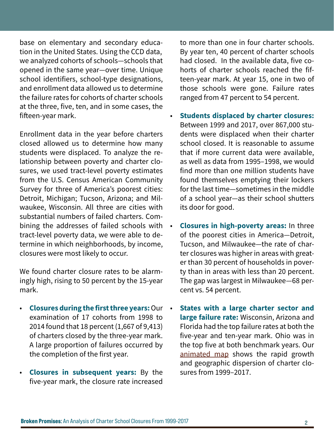base on elementary and secondary education in the United States. Using the CCD data, we analyzed cohorts of schools—schools that opened in the same year—over time. Unique school identifiers, school-type designations, and enrollment data allowed us to determine the failure rates for cohorts of charter schools at the three, five, ten, and in some cases, the fifteen-year mark.

Enrollment data in the year before charters closed allowed us to determine how many students were displaced. To analyze the relationship between poverty and charter closures, we used tract-level poverty estimates from the U.S. Census American Community Survey for three of America's poorest cities: Detroit, Michigan; Tucson, Arizona; and Milwaukee, Wisconsin. All three are cities with substantial numbers of failed charters. Combining the addresses of failed schools with tract-level poverty data, we were able to determine in which neighborhoods, by income, closures were most likely to occur.

We found charter closure rates to be alarmingly high, rising to 50 percent by the 15-year mark.

- **Closures during the first three years:** Our examination of 17 cohorts from 1998 to 2014 found that 18 percent (1,667 of 9,413) of charters closed by the three-year mark. A large proportion of failures occurred by the completion of the first year.
- **Closures in subsequent years:** By the five-year mark, the closure rate increased

to more than one in four charter schools. By year ten, 40 percent of charter schools had closed. In the available data, five cohorts of charter schools reached the fifteen-year mark. At year 15, one in two of those schools were gone. Failure rates ranged from 47 percent to 54 percent.

- **Students displaced by charter closures:**  Between 1999 and 2017, over 867,000 students were displaced when their charter school closed. It is reasonable to assume that if more current data were available, as well as data from 1995–1998, we would find more than one million students have found themselves emptying their lockers for the last time—sometimes in the middle of a school year—as their school shutters its door for good.
- **Closures in high-poverty areas:** In three of the poorest cities in America—Detroit, Tucson, and Milwaukee—the rate of charter closures was higher in areas with greater than 30 percent of households in poverty than in areas with less than 20 percent. The gap was largest in Milwaukee—68 percent vs. 54 percent.
- **States with a large charter sector and large failure rate:** Wisconsin, Arizona and Florida had the top failure rates at both the five-year and ten-year mark. Ohio was in the top five at both benchmark years. Our [animated map](https://networkforpubliceducation.org/wp-content/uploads/2020/08/Charter_Closures_USA_All_1999_2017_FINAL-NO-AUDIO.mp4) shows the rapid growth and geographic dispersion of charter closures from 1999–2017.